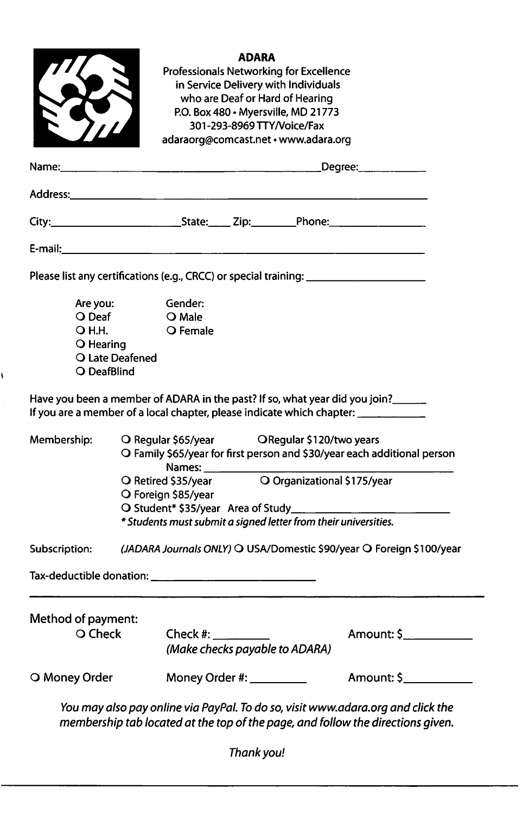|                                                                                                                                                                                                                                         |                 | Professionals Networking for Excellence                                                                     | <b>ADARA</b> |                                                                   |                                                                          |  |
|-----------------------------------------------------------------------------------------------------------------------------------------------------------------------------------------------------------------------------------------|-----------------|-------------------------------------------------------------------------------------------------------------|--------------|-------------------------------------------------------------------|--------------------------------------------------------------------------|--|
|                                                                                                                                                                                                                                         |                 |                                                                                                             |              | in Service Delivery with Individuals                              |                                                                          |  |
|                                                                                                                                                                                                                                         |                 |                                                                                                             |              | who are Deaf or Hard of Hearing                                   |                                                                          |  |
|                                                                                                                                                                                                                                         |                 |                                                                                                             |              | P.O. Box 480 · Myersville, MD 21773<br>301-293-8969 TTY/Voice/Fax |                                                                          |  |
|                                                                                                                                                                                                                                         |                 | adaraorg@comcast.net • www.adara.org                                                                        |              |                                                                   |                                                                          |  |
|                                                                                                                                                                                                                                         |                 |                                                                                                             |              |                                                                   |                                                                          |  |
|                                                                                                                                                                                                                                         |                 |                                                                                                             |              |                                                                   | Degree:_____________                                                     |  |
|                                                                                                                                                                                                                                         |                 |                                                                                                             |              |                                                                   |                                                                          |  |
|                                                                                                                                                                                                                                         |                 |                                                                                                             |              |                                                                   |                                                                          |  |
|                                                                                                                                                                                                                                         |                 |                                                                                                             |              |                                                                   |                                                                          |  |
|                                                                                                                                                                                                                                         |                 |                                                                                                             |              |                                                                   |                                                                          |  |
| Please list any certifications (e.g., CRCC) or special training: ________________                                                                                                                                                       |                 |                                                                                                             |              |                                                                   |                                                                          |  |
| Are you:<br>O Deaf                                                                                                                                                                                                                      |                 | Gender:                                                                                                     |              |                                                                   |                                                                          |  |
| O H.H.                                                                                                                                                                                                                                  |                 | O Male                                                                                                      |              |                                                                   |                                                                          |  |
|                                                                                                                                                                                                                                         |                 |                                                                                                             |              |                                                                   |                                                                          |  |
|                                                                                                                                                                                                                                         |                 | O Female                                                                                                    |              |                                                                   |                                                                          |  |
| O Hearing                                                                                                                                                                                                                               | O Late Deafened |                                                                                                             |              |                                                                   |                                                                          |  |
| O DeafBlind                                                                                                                                                                                                                             |                 |                                                                                                             |              |                                                                   |                                                                          |  |
|                                                                                                                                                                                                                                         |                 |                                                                                                             |              |                                                                   |                                                                          |  |
|                                                                                                                                                                                                                                         |                 |                                                                                                             |              |                                                                   |                                                                          |  |
|                                                                                                                                                                                                                                         |                 |                                                                                                             |              |                                                                   |                                                                          |  |
|                                                                                                                                                                                                                                         |                 | O Regular \$65/year    QRegular \$120/two years                                                             |              |                                                                   |                                                                          |  |
|                                                                                                                                                                                                                                         |                 |                                                                                                             |              |                                                                   | O Family \$65/year for first person and \$30/year each additional person |  |
|                                                                                                                                                                                                                                         |                 | Names: ___________<br>O Retired \$35/year                                                                   |              |                                                                   | O Organizational \$175/year                                              |  |
|                                                                                                                                                                                                                                         |                 | O Foreign \$85/year                                                                                         |              |                                                                   |                                                                          |  |
|                                                                                                                                                                                                                                         |                 | O Student* \$35/year Area of Study______<br>* Students must submit a signed letter from their universities. |              |                                                                   |                                                                          |  |
|                                                                                                                                                                                                                                         |                 |                                                                                                             |              |                                                                   |                                                                          |  |
|                                                                                                                                                                                                                                         |                 |                                                                                                             |              |                                                                   | (JADARA Journals ONLY) O USA/Domestic \$90/year O Foreign \$100/year     |  |
|                                                                                                                                                                                                                                         |                 |                                                                                                             |              |                                                                   |                                                                          |  |
|                                                                                                                                                                                                                                         |                 |                                                                                                             |              |                                                                   |                                                                          |  |
|                                                                                                                                                                                                                                         |                 |                                                                                                             |              |                                                                   |                                                                          |  |
| O Check                                                                                                                                                                                                                                 |                 | Check $\#$ : ______________                                                                                 |              | (Make checks payable to ADARA)                                    | Amount: \$____________                                                   |  |
| Have you been a member of ADARA in the past? If so, what year did you join?<br>If you are a member of a local chapter, please indicate which chapter: __________<br>Membership:<br>Subscription:<br>Method of payment:<br>O Money Order |                 | Money Order #: _________                                                                                    |              |                                                                   | Amount: \$____________                                                   |  |

١

Thank you!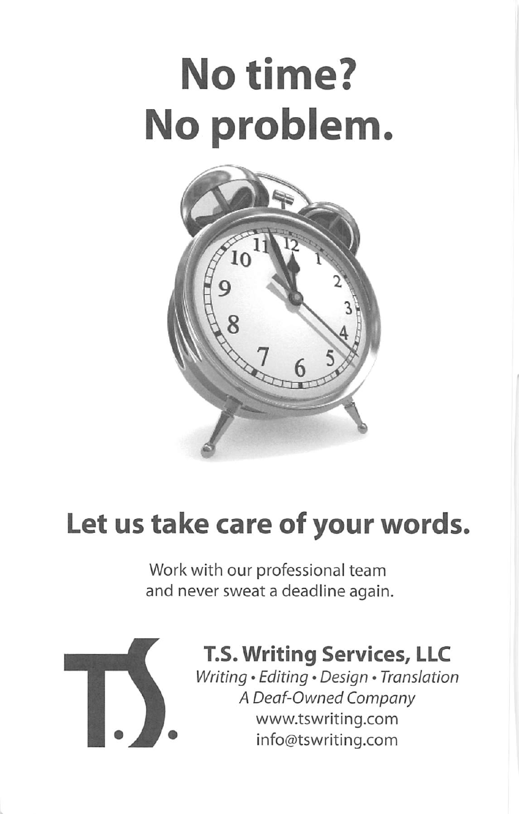# No time? No problem



# Let us take care of your words.

Work with our professional team and never sweat a deadline again.



## T.S. Writing Services, LLC

Writing • Editing • Design • Translation A Deaf-Owned Company www.tswriting.com info@tswriting.com